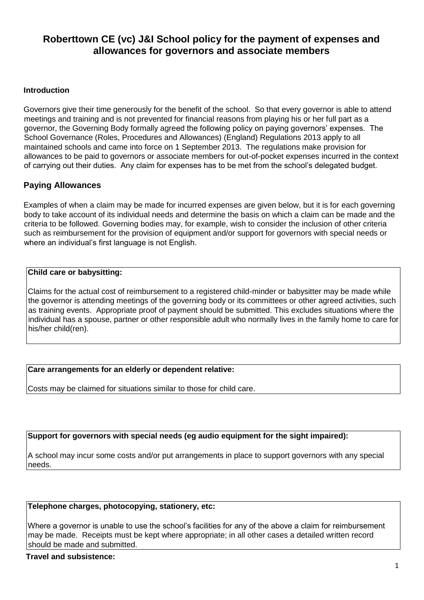# **Roberttown CE (vc) J&I School policy for the payment of expenses and allowances for governors and associate members**

#### **Introduction**

Governors give their time generously for the benefit of the school. So that every governor is able to attend meetings and training and is not prevented for financial reasons from playing his or her full part as a governor, the Governing Body formally agreed the following policy on paying governors' expenses. The School Governance (Roles, Procedures and Allowances) (England) Regulations 2013 apply to all maintained schools and came into force on 1 September 2013. The regulations make provision for allowances to be paid to governors or associate members for out-of-pocket expenses incurred in the context of carrying out their duties. Any claim for expenses has to be met from the school's delegated budget.

# **Paying Allowances**

Examples of when a claim may be made for incurred expenses are given below, but it is for each governing body to take account of its individual needs and determine the basis on which a claim can be made and the criteria to be followed. Governing bodies may, for example, wish to consider the inclusion of other criteria such as reimbursement for the provision of equipment and/or support for governors with special needs or where an individual's first language is not English.

#### **Child care or babysitting:**

Claims for the actual cost of reimbursement to a registered child-minder or babysitter may be made while the governor is attending meetings of the governing body or its committees or other agreed activities, such as training events. Appropriate proof of payment should be submitted. This excludes situations where the individual has a spouse, partner or other responsible adult who normally lives in the family home to care for his/her child(ren).

### **Care arrangements for an elderly or dependent relative:**

Costs may be claimed for situations similar to those for child care.

### **Support for governors with special needs (eg audio equipment for the sight impaired):**

A school may incur some costs and/or put arrangements in place to support governors with any special needs.

#### **Telephone charges, photocopying, stationery, etc:**

Where a governor is unable to use the school's facilities for any of the above a claim for reimbursement may be made. Receipts must be kept where appropriate; in all other cases a detailed written record should be made and submitted.

#### **Travel and subsistence:**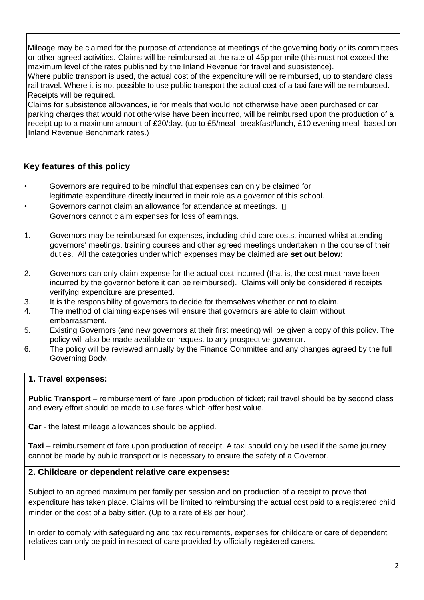Mileage may be claimed for the purpose of attendance at meetings of the governing body or its committees or other agreed activities. Claims will be reimbursed at the rate of 45p per mile (this must not exceed the maximum level of the rates published by the Inland Revenue for travel and subsistence).

Where public transport is used, the actual cost of the expenditure will be reimbursed, up to standard class rail travel. Where it is not possible to use public transport the actual cost of a taxi fare will be reimbursed. Receipts will be required.

Claims for subsistence allowances, ie for meals that would not otherwise have been purchased or car parking charges that would not otherwise have been incurred, will be reimbursed upon the production of a receipt up to a maximum amount of £20/day. (up to £5/meal- breakfast/lunch, £10 evening meal- based on Inland Revenue Benchmark rates.)

# **Key features of this policy**

- Governors are required to be mindful that expenses can only be claimed for legitimate expenditure directly incurred in their role as a governor of this school.
- Governors cannot claim an allowance for attendance at meetings.  $\square$ Governors cannot claim expenses for loss of earnings.
- 1. Governors may be reimbursed for expenses, including child care costs, incurred whilst attending governors' meetings, training courses and other agreed meetings undertaken in the course of their duties. All the categories under which expenses may be claimed are **set out below**:
- 2. Governors can only claim expense for the actual cost incurred (that is, the cost must have been incurred by the governor before it can be reimbursed). Claims will only be considered if receipts verifying expenditure are presented.
- 3. It is the responsibility of governors to decide for themselves whether or not to claim.
- 4. The method of claiming expenses will ensure that governors are able to claim without embarrassment.
- 5. Existing Governors (and new governors at their first meeting) will be given a copy of this policy. The policy will also be made available on request to any prospective governor.
- 6. The policy will be reviewed annually by the Finance Committee and any changes agreed by the full Governing Body.

# **1. Travel expenses:**

**Public Transport** – reimbursement of fare upon production of ticket; rail travel should be by second class and every effort should be made to use fares which offer best value.

**Car** - the latest mileage allowances should be applied.

**Taxi** – reimbursement of fare upon production of receipt. A taxi should only be used if the same journey cannot be made by public transport or is necessary to ensure the safety of a Governor.

### **2. Childcare or dependent relative care expenses:**

Subject to an agreed maximum per family per session and on production of a receipt to prove that expenditure has taken place. Claims will be limited to reimbursing the actual cost paid to a registered child minder or the cost of a baby sitter. (Up to a rate of £8 per hour).

In order to comply with safeguarding and tax requirements, expenses for childcare or care of dependent relatives can only be paid in respect of care provided by officially registered carers.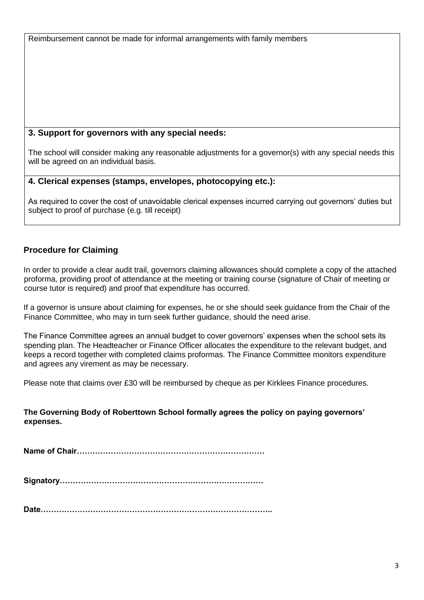Reimbursement cannot be made for informal arrangements with family members

# **3. Support for governors with any special needs:**

The school will consider making any reasonable adjustments for a governor(s) with any special needs this will be agreed on an individual basis.

# **4. Clerical expenses (stamps, envelopes, photocopying etc.):**

As required to cover the cost of unavoidable clerical expenses incurred carrying out governors' duties but subject to proof of purchase (e.g. till receipt)

# **Procedure for Claiming**

In order to provide a clear audit trail, governors claiming allowances should complete a copy of the attached proforma, providing proof of attendance at the meeting or training course (signature of Chair of meeting or course tutor is required) and proof that expenditure has occurred.

If a governor is unsure about claiming for expenses, he or she should seek guidance from the Chair of the Finance Committee, who may in turn seek further guidance, should the need arise.

The Finance Committee agrees an annual budget to cover governors' expenses when the school sets its spending plan. The Headteacher or Finance Officer allocates the expenditure to the relevant budget, and keeps a record together with completed claims proformas. The Finance Committee monitors expenditure and agrees any virement as may be necessary.

Please note that claims over £30 will be reimbursed by cheque as per Kirklees Finance procedures.

# **The Governing Body of Roberttown School formally agrees the policy on paying governors' expenses.**

**Name of Chair………………………………………………………………** 

**Signatory……………………………………………………………………** 

**Date……………………………………………………………………………..**